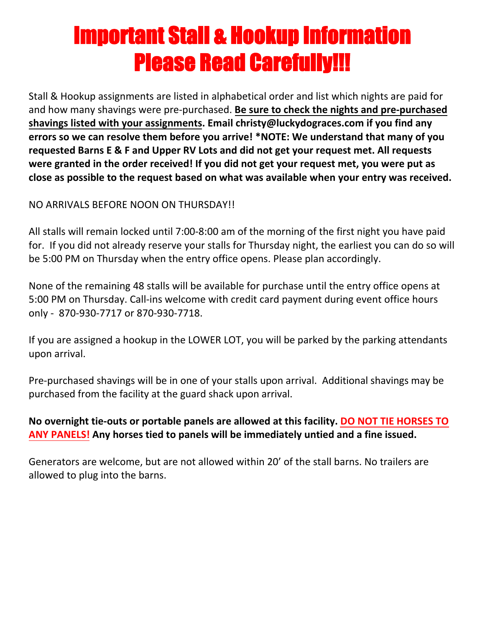# Important Stall & Hookup Information Please Read Carefully!!!

Stall & Hookup assignments are listed in alphabetical order and list which nights are paid for and how many shavings were pre‐purchased. **Be sure to check the nights and pre‐purchased shavings listed with your assignments. Email christy@luckydograces.com if you find any errors so we can resolve them before you arrive! \*NOTE: We understand that many of you requested Barns E & F and Upper RV Lots and did not get your request met. All requests were granted in the order received! If you did not get your request met, you were put as close as possible to the request based on what was available when your entry was received.**

### NO ARRIVALS BEFORE NOON ON THURSDAY!!

All stalls will remain locked until 7:00‐8:00 am of the morning of the first night you have paid for. If you did not already reserve your stalls for Thursday night, the earliest you can do so will be 5:00 PM on Thursday when the entry office opens. Please plan accordingly.

None of the remaining 48 stalls will be available for purchase until the entry office opens at 5:00 PM on Thursday. Call-ins welcome with credit card payment during event office hours only - 870-930-7717 or 870-930-7718.

If you are assigned a hookup in the LOWER LOT, you will be parked by the parking attendants upon arrival.

Pre‐purchased shavings will be in one of your stalls upon arrival. Additional shavings may be purchased from the facility at the guard shack upon arrival.

## **No overnight tie‐outs or portable panels are allowed at this facility. DO NOT TIE HORSES TO ANY PANELS! Any horses tied to panels will be immediately untied and a fine issued.**

Generators are welcome, but are not allowed within 20' of the stall barns. No trailers are allowed to plug into the barns.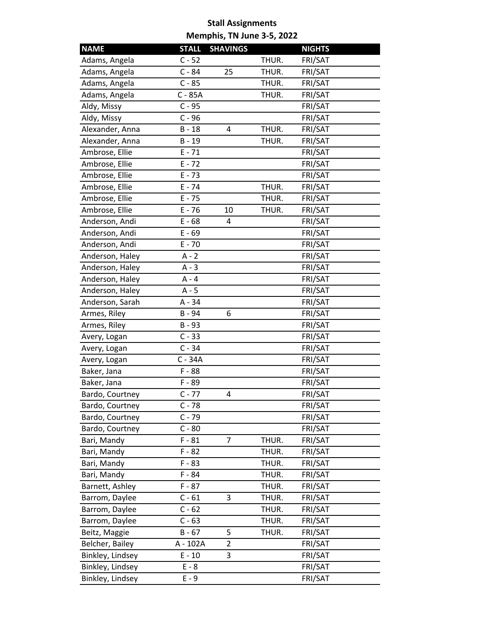| <b>NAME</b>      | <b>STALL</b> | <b>SHAVINGS</b> |       | <b>NIGHTS</b> |
|------------------|--------------|-----------------|-------|---------------|
| Adams, Angela    | $C - 52$     |                 | THUR. | FRI/SAT       |
| Adams, Angela    | $C - 84$     | 25              | THUR. | FRI/SAT       |
| Adams, Angela    | $C - 85$     |                 | THUR. | FRI/SAT       |
| Adams, Angela    | C - 85A      |                 | THUR. | FRI/SAT       |
| Aldy, Missy      | $C - 95$     |                 |       | FRI/SAT       |
| Aldy, Missy      | $C - 96$     |                 |       | FRI/SAT       |
| Alexander, Anna  | $B - 18$     | 4               | THUR. | FRI/SAT       |
| Alexander, Anna  | $B - 19$     |                 | THUR. | FRI/SAT       |
| Ambrose, Ellie   | $E - 71$     |                 |       | FRI/SAT       |
| Ambrose, Ellie   | $E - 72$     |                 |       | FRI/SAT       |
| Ambrose, Ellie   | $E - 73$     |                 |       | FRI/SAT       |
| Ambrose, Ellie   | $E - 74$     |                 | THUR. | FRI/SAT       |
| Ambrose, Ellie   | $E - 75$     |                 | THUR. | FRI/SAT       |
| Ambrose, Ellie   | $E - 76$     | 10              | THUR. | FRI/SAT       |
| Anderson, Andi   | $E - 68$     | 4               |       | FRI/SAT       |
| Anderson, Andi   | $E - 69$     |                 |       | FRI/SAT       |
| Anderson, Andi   | $E - 70$     |                 |       | FRI/SAT       |
| Anderson, Haley  | $A - 2$      |                 |       | FRI/SAT       |
| Anderson, Haley  | $A - 3$      |                 |       | FRI/SAT       |
| Anderson, Haley  | A - 4        |                 |       | FRI/SAT       |
| Anderson, Haley  | $A - 5$      |                 |       | FRI/SAT       |
| Anderson, Sarah  | A - 34       |                 |       | FRI/SAT       |
| Armes, Riley     | B - 94       | 6               |       | FRI/SAT       |
| Armes, Riley     | $B - 93$     |                 |       | FRI/SAT       |
| Avery, Logan     | $C - 33$     |                 |       | FRI/SAT       |
| Avery, Logan     | $C - 34$     |                 |       | FRI/SAT       |
| Avery, Logan     | C - 34A      |                 |       | FRI/SAT       |
| Baker, Jana      | $F - 88$     |                 |       | FRI/SAT       |
| Baker, Jana      | F-89         |                 |       | FRI/SAT       |
| Bardo, Courtney  | $C - 77$     | 4               |       | FRI/SAT       |
| Bardo, Courtney  | $C - 78$     |                 |       | FRI/SAT       |
| Bardo, Courtney  | $C - 79$     |                 |       | FRI/SAT       |
| Bardo, Courtney  | $C - 80$     |                 |       | FRI/SAT       |
| Bari, Mandy      | $F - 81$     | 7               | THUR. | FRI/SAT       |
| Bari, Mandy      | $F - 82$     |                 | THUR. | FRI/SAT       |
| Bari, Mandy      | $F - 83$     |                 | THUR. | FRI/SAT       |
| Bari, Mandy      | $F - 84$     |                 | THUR. | FRI/SAT       |
| Barnett, Ashley  | $F - 87$     |                 | THUR. | FRI/SAT       |
| Barrom, Daylee   | $C - 61$     | 3               | THUR. | FRI/SAT       |
| Barrom, Daylee   | $C - 62$     |                 | THUR. | FRI/SAT       |
| Barrom, Daylee   | $C - 63$     |                 | THUR. | FRI/SAT       |
| Beitz, Maggie    | $B - 67$     | 5               | THUR. | FRI/SAT       |
| Belcher, Bailey  | A - 102A     | $\overline{2}$  |       | FRI/SAT       |
| Binkley, Lindsey | $E - 10$     | 3               |       | FRI/SAT       |
| Binkley, Lindsey | $E - 8$      |                 |       | FRI/SAT       |
| Binkley, Lindsey | E - 9        |                 |       | FRI/SAT       |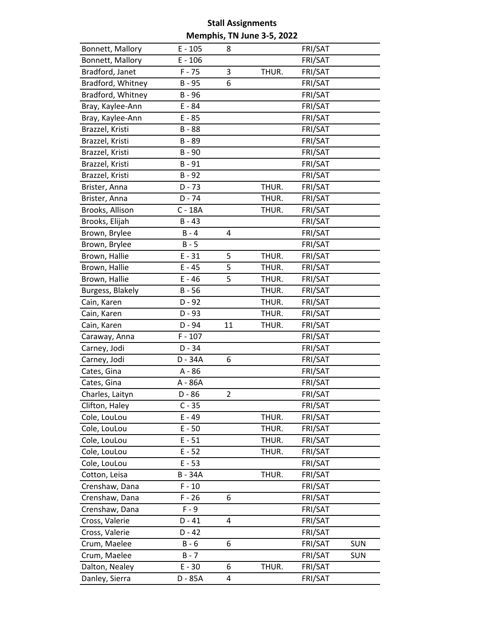| Bonnett, Mallory  | $E - 105$ | 8              |       | FRI/SAT |            |
|-------------------|-----------|----------------|-------|---------|------------|
| Bonnett, Mallory  | $E - 106$ |                |       | FRI/SAT |            |
| Bradford, Janet   | $F - 75$  | 3              | THUR. | FRI/SAT |            |
| Bradford, Whitney | B - 95    | 6              |       | FRI/SAT |            |
| Bradford, Whitney | $B - 96$  |                |       | FRI/SAT |            |
| Bray, Kaylee-Ann  | E - 84    |                |       | FRI/SAT |            |
| Bray, Kaylee-Ann  | $E - 85$  |                |       | FRI/SAT |            |
| Brazzel, Kristi   | $B - 88$  |                |       | FRI/SAT |            |
| Brazzel, Kristi   | B - 89    |                |       | FRI/SAT |            |
| Brazzel, Kristi   | B - 90    |                |       | FRI/SAT |            |
| Brazzel, Kristi   | $B - 91$  |                |       | FRI/SAT |            |
| Brazzel, Kristi   | $B - 92$  |                |       | FRI/SAT |            |
| Brister, Anna     | $D - 73$  |                | THUR. | FRI/SAT |            |
| Brister, Anna     | $D - 74$  |                | THUR. | FRI/SAT |            |
| Brooks, Allison   | $C - 18A$ |                | THUR. | FRI/SAT |            |
| Brooks, Elijah    | $B - 43$  |                |       | FRI/SAT |            |
| Brown, Brylee     | $B - 4$   | 4              |       | FRI/SAT |            |
| Brown, Brylee     | $B - 5$   |                |       | FRI/SAT |            |
| Brown, Hallie     | $E - 31$  | 5              | THUR. | FRI/SAT |            |
| Brown, Hallie     | $E - 45$  | 5              | THUR. | FRI/SAT |            |
| Brown, Hallie     | $E - 46$  | 5              | THUR. | FRI/SAT |            |
| Burgess, Blakely  | $B - 56$  |                | THUR. | FRI/SAT |            |
| Cain, Karen       | $D - 92$  |                | THUR. | FRI/SAT |            |
| Cain, Karen       | $D - 93$  |                | THUR. | FRI/SAT |            |
| Cain, Karen       | D - 94    | 11             | THUR. | FRI/SAT |            |
| Caraway, Anna     | $F - 107$ |                |       | FRI/SAT |            |
| Carney, Jodi      | $D - 34$  |                |       | FRI/SAT |            |
| Carney, Jodi      | D - 34A   | 6              |       | FRI/SAT |            |
| Cates, Gina       | $A - 86$  |                |       | FRI/SAT |            |
| Cates, Gina       | A - 86A   |                |       | FRI/SAT |            |
| Charles, Laityn   | $D - 86$  | $\overline{2}$ |       | FRI/SAT |            |
| Clifton, Haley    | $C - 35$  |                |       | FRI/SAT |            |
| Cole, LouLou      | $E - 49$  |                | THUR. | FRI/SAT |            |
| Cole, LouLou      | $E - 50$  |                | THUR. | FRI/SAT |            |
| Cole, LouLou      | $E - 51$  |                | THUR. | FRI/SAT |            |
| Cole, LouLou      | $E - 52$  |                | THUR. | FRI/SAT |            |
| Cole, LouLou      | $E - 53$  |                |       | FRI/SAT |            |
| Cotton, Leisa     | B - 34A   |                | THUR. | FRI/SAT |            |
| Crenshaw, Dana    | $F - 10$  |                |       | FRI/SAT |            |
| Crenshaw, Dana    | $F - 26$  | 6              |       | FRI/SAT |            |
| Crenshaw, Dana    | $F - 9$   |                |       | FRI/SAT |            |
| Cross, Valerie    | $D - 41$  | 4              |       | FRI/SAT |            |
| Cross, Valerie    | $D - 42$  |                |       | FRI/SAT |            |
| Crum, Maelee      | $B - 6$   | 6              |       | FRI/SAT | <b>SUN</b> |
| Crum, Maelee      | $B - 7$   |                |       | FRI/SAT | <b>SUN</b> |
| Dalton, Nealey    | $E - 30$  | 6              | THUR. | FRI/SAT |            |
| Danley, Sierra    | D - 85A   | 4              |       | FRI/SAT |            |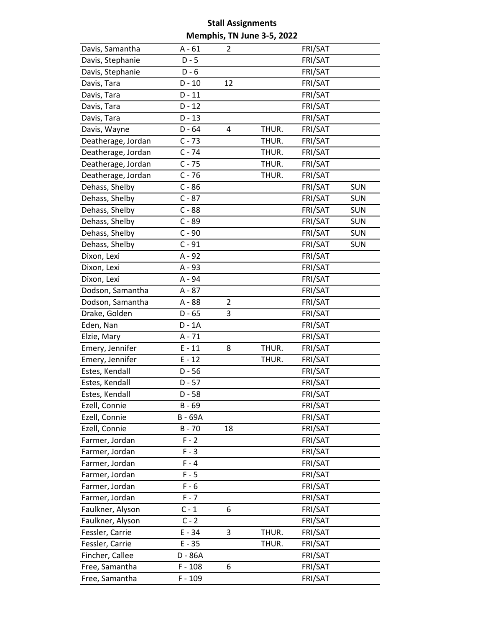| Davis, Samantha    | $A - 61$  | 2  |       | FRI/SAT |            |
|--------------------|-----------|----|-------|---------|------------|
| Davis, Stephanie   | $D - 5$   |    |       | FRI/SAT |            |
| Davis, Stephanie   | $D - 6$   |    |       | FRI/SAT |            |
| Davis, Tara        | $D - 10$  | 12 |       | FRI/SAT |            |
| Davis, Tara        | $D - 11$  |    |       | FRI/SAT |            |
| Davis, Tara        | $D - 12$  |    |       | FRI/SAT |            |
| Davis, Tara        | $D - 13$  |    |       | FRI/SAT |            |
| Davis, Wayne       | $D - 64$  | 4  | THUR. | FRI/SAT |            |
| Deatherage, Jordan | $C - 73$  |    | THUR. | FRI/SAT |            |
| Deatherage, Jordan | $C - 74$  |    | THUR. | FRI/SAT |            |
| Deatherage, Jordan | $C - 75$  |    | THUR. | FRI/SAT |            |
| Deatherage, Jordan | $C - 76$  |    | THUR. | FRI/SAT |            |
| Dehass, Shelby     | $C - 86$  |    |       | FRI/SAT | <b>SUN</b> |
| Dehass, Shelby     | $C - 87$  |    |       | FRI/SAT | <b>SUN</b> |
| Dehass, Shelby     | $C - 88$  |    |       | FRI/SAT | <b>SUN</b> |
| Dehass, Shelby     | $C - 89$  |    |       | FRI/SAT | <b>SUN</b> |
| Dehass, Shelby     | $C - 90$  |    |       | FRI/SAT | <b>SUN</b> |
| Dehass, Shelby     | $C - 91$  |    |       | FRI/SAT | <b>SUN</b> |
| Dixon, Lexi        | $A - 92$  |    |       | FRI/SAT |            |
| Dixon, Lexi        | A - 93    |    |       | FRI/SAT |            |
| Dixon, Lexi        | A - 94    |    |       | FRI/SAT |            |
| Dodson, Samantha   | A - 87    |    |       | FRI/SAT |            |
| Dodson, Samantha   | A - 88    | 2  |       | FRI/SAT |            |
| Drake, Golden      | $D - 65$  | 3  |       | FRI/SAT |            |
| Eden, Nan          | $D - 1A$  |    |       | FRI/SAT |            |
| Elzie, Mary        | $A - 71$  |    |       | FRI/SAT |            |
| Emery, Jennifer    | $E - 11$  | 8  | THUR. | FRI/SAT |            |
| Emery, Jennifer    | $E - 12$  |    | THUR. | FRI/SAT |            |
| Estes, Kendall     | $D - 56$  |    |       | FRI/SAT |            |
| Estes, Kendall     | $D - 57$  |    |       | FRI/SAT |            |
| Estes, Kendall     | $D - 58$  |    |       | FRI/SAT |            |
| Ezell, Connie      | $B - 69$  |    |       | FRI/SAT |            |
| Ezell, Connie      | B - 69A   |    |       | FRI/SAT |            |
| Ezell, Connie      | $B - 70$  | 18 |       | FRI/SAT |            |
| Farmer, Jordan     | $F - 2$   |    |       | FRI/SAT |            |
| Farmer, Jordan     | $F - 3$   |    |       | FRI/SAT |            |
| Farmer, Jordan     | $F - 4$   |    |       | FRI/SAT |            |
| Farmer, Jordan     | $F - 5$   |    |       | FRI/SAT |            |
| Farmer, Jordan     | $F - 6$   |    |       | FRI/SAT |            |
| Farmer, Jordan     | $F - 7$   |    |       | FRI/SAT |            |
| Faulkner, Alyson   | $C - 1$   | 6  |       | FRI/SAT |            |
| Faulkner, Alyson   | $C - 2$   |    |       | FRI/SAT |            |
| Fessler, Carrie    | $E - 34$  | 3  | THUR. | FRI/SAT |            |
| Fessler, Carrie    | $E - 35$  |    | THUR. | FRI/SAT |            |
| Fincher, Callee    | D - 86A   |    |       | FRI/SAT |            |
| Free, Samantha     | $F - 108$ | 6  |       | FRI/SAT |            |
| Free, Samantha     | $F - 109$ |    |       | FRI/SAT |            |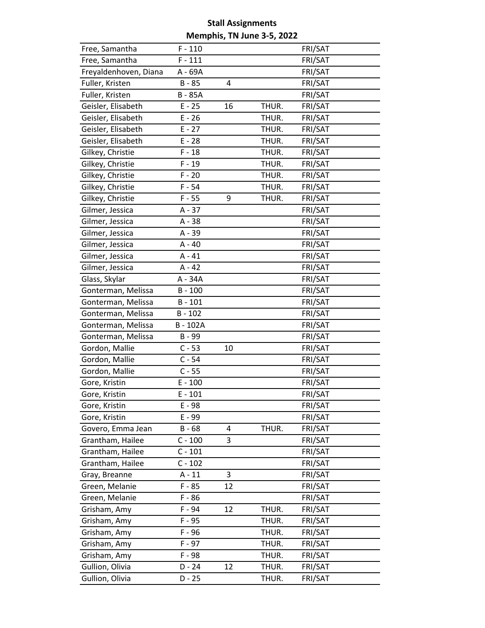| Free, Samantha        | $F - 110$    |    |       | FRI/SAT |
|-----------------------|--------------|----|-------|---------|
| Free, Samantha        | $F - 111$    |    |       | FRI/SAT |
| Freyaldenhoven, Diana | A - 69A      |    |       | FRI/SAT |
| Fuller, Kristen       | $B - 85$     | 4  |       | FRI/SAT |
| Fuller, Kristen       | <b>B-85A</b> |    |       | FRI/SAT |
| Geisler, Elisabeth    | $E - 25$     | 16 | THUR. | FRI/SAT |
| Geisler, Elisabeth    | $E - 26$     |    | THUR. | FRI/SAT |
| Geisler, Elisabeth    | $E - 27$     |    | THUR. | FRI/SAT |
| Geisler, Elisabeth    | $E - 28$     |    | THUR. | FRI/SAT |
| Gilkey, Christie      | $F - 18$     |    | THUR. | FRI/SAT |
| Gilkey, Christie      | $F - 19$     |    | THUR. | FRI/SAT |
| Gilkey, Christie      | $F - 20$     |    | THUR. | FRI/SAT |
| Gilkey, Christie      | $F - 54$     |    | THUR. | FRI/SAT |
| Gilkey, Christie      | $F - 55$     | 9  | THUR. | FRI/SAT |
| Gilmer, Jessica       | $A - 37$     |    |       | FRI/SAT |
| Gilmer, Jessica       | A - 38       |    |       | FRI/SAT |
| Gilmer, Jessica       | A - 39       |    |       | FRI/SAT |
| Gilmer, Jessica       | $A - 40$     |    |       | FRI/SAT |
| Gilmer, Jessica       | $A - 41$     |    |       | FRI/SAT |
| Gilmer, Jessica       | $A - 42$     |    |       | FRI/SAT |
| Glass, Skylar         | A - 34A      |    |       | FRI/SAT |
| Gonterman, Melissa    | $B - 100$    |    |       | FRI/SAT |
| Gonterman, Melissa    | $B - 101$    |    |       | FRI/SAT |
| Gonterman, Melissa    | $B - 102$    |    |       | FRI/SAT |
| Gonterman, Melissa    | B-102A       |    |       | FRI/SAT |
| Gonterman, Melissa    | B - 99       |    |       | FRI/SAT |
| Gordon, Mallie        | $C - 53$     | 10 |       | FRI/SAT |
| Gordon, Mallie        | $C - 54$     |    |       | FRI/SAT |
| Gordon, Mallie        | $C - 55$     |    |       | FRI/SAT |
| Gore, Kristin         | $E - 100$    |    |       | FRI/SAT |
| Gore, Kristin         | $E - 101$    |    |       | FRI/SAT |
| Gore, Kristin         | E - 98       |    |       | FRI/SAT |
| Gore, Kristin         | E - 99       |    |       | FRI/SAT |
| Govero, Emma Jean     | $B - 68$     | 4  | THUR. | FRI/SAT |
| Grantham, Hailee      | $C - 100$    | 3  |       | FRI/SAT |
| Grantham, Hailee      | $C - 101$    |    |       | FRI/SAT |
| Grantham, Hailee      | $C - 102$    |    |       | FRI/SAT |
| Gray, Breanne         | $A - 11$     | 3  |       | FRI/SAT |
| Green, Melanie        | $F - 85$     | 12 |       | FRI/SAT |
| Green, Melanie        | $F - 86$     |    |       | FRI/SAT |
| Grisham, Amy          | F-94         | 12 | THUR. | FRI/SAT |
| Grisham, Amy          | $F - 95$     |    | THUR. | FRI/SAT |
| Grisham, Amy          | $F - 96$     |    | THUR. | FRI/SAT |
| Grisham, Amy          | $F - 97$     |    | THUR. | FRI/SAT |
| Grisham, Amy          | F-98         |    | THUR. | FRI/SAT |
| Gullion, Olivia       | $D - 24$     | 12 | THUR. | FRI/SAT |
| Gullion, Olivia       | $D - 25$     |    | THUR. | FRI/SAT |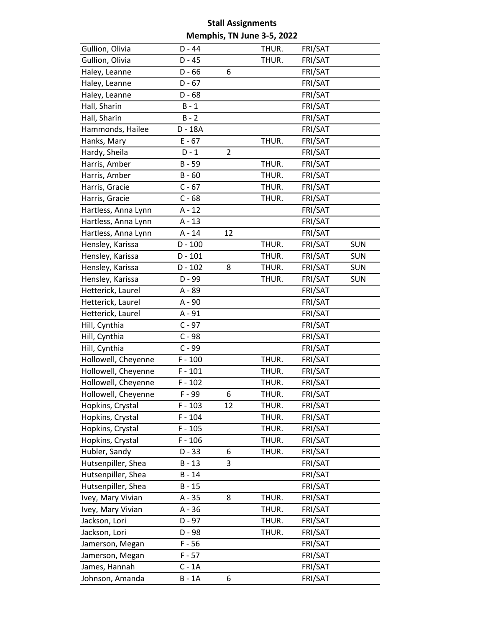| Gullion, Olivia     | $D - 44$  |                | THUR. | FRI/SAT |            |
|---------------------|-----------|----------------|-------|---------|------------|
| Gullion, Olivia     | $D - 45$  |                | THUR. | FRI/SAT |            |
| Haley, Leanne       | $D - 66$  | 6              |       | FRI/SAT |            |
| Haley, Leanne       | $D - 67$  |                |       | FRI/SAT |            |
| Haley, Leanne       | $D - 68$  |                |       | FRI/SAT |            |
| Hall, Sharin        | $B - 1$   |                |       | FRI/SAT |            |
| Hall, Sharin        | $B - 2$   |                |       | FRI/SAT |            |
| Hammonds, Hailee    | D - 18A   |                |       | FRI/SAT |            |
| Hanks, Mary         | $E - 67$  |                | THUR. | FRI/SAT |            |
| Hardy, Sheila       | $D - 1$   | $\overline{2}$ |       | FRI/SAT |            |
| Harris, Amber       | $B - 59$  |                | THUR. | FRI/SAT |            |
| Harris, Amber       | $B - 60$  |                | THUR. | FRI/SAT |            |
| Harris, Gracie      | $C - 67$  |                | THUR. | FRI/SAT |            |
| Harris, Gracie      | $C - 68$  |                | THUR. | FRI/SAT |            |
| Hartless, Anna Lynn | $A - 12$  |                |       | FRI/SAT |            |
| Hartless, Anna Lynn | $A - 13$  |                |       | FRI/SAT |            |
| Hartless, Anna Lynn | $A - 14$  | 12             |       | FRI/SAT |            |
| Hensley, Karissa    | $D - 100$ |                | THUR. | FRI/SAT | <b>SUN</b> |
| Hensley, Karissa    | $D - 101$ |                | THUR. | FRI/SAT | <b>SUN</b> |
| Hensley, Karissa    | D - 102   | 8              | THUR. | FRI/SAT | <b>SUN</b> |
| Hensley, Karissa    | D - 99    |                | THUR. | FRI/SAT | <b>SUN</b> |
| Hetterick, Laurel   | A - 89    |                |       | FRI/SAT |            |
| Hetterick, Laurel   | A - 90    |                |       | FRI/SAT |            |
| Hetterick, Laurel   | A - 91    |                |       | FRI/SAT |            |
| Hill, Cynthia       | $C - 97$  |                |       | FRI/SAT |            |
| Hill, Cynthia       | $C - 98$  |                |       | FRI/SAT |            |
| Hill, Cynthia       | $C - 99$  |                |       | FRI/SAT |            |
| Hollowell, Cheyenne | $F - 100$ |                | THUR. | FRI/SAT |            |
| Hollowell, Cheyenne | $F - 101$ |                | THUR. | FRI/SAT |            |
| Hollowell, Cheyenne | $F - 102$ |                | THUR. | FRI/SAT |            |
| Hollowell, Cheyenne | F-99      | 6              | THUR. | FRI/SAT |            |
| Hopkins, Crystal    | $F - 103$ | 12             | THUR. | FRI/SAT |            |
| Hopkins, Crystal    | $F - 104$ |                | THUR. | FRI/SAT |            |
| Hopkins, Crystal    | $F - 105$ |                | THUR. | FRI/SAT |            |
| Hopkins, Crystal    | $F - 106$ |                | THUR. | FRI/SAT |            |
| Hubler, Sandy       | $D - 33$  | 6              | THUR. | FRI/SAT |            |
| Hutsenpiller, Shea  | $B - 13$  | 3              |       | FRI/SAT |            |
| Hutsenpiller, Shea  | $B - 14$  |                |       | FRI/SAT |            |
| Hutsenpiller, Shea  | $B - 15$  |                |       | FRI/SAT |            |
| Ivey, Mary Vivian   | $A - 35$  | 8              | THUR. | FRI/SAT |            |
| Ivey, Mary Vivian   | $A - 36$  |                | THUR. | FRI/SAT |            |
| Jackson, Lori       | $D - 97$  |                | THUR. | FRI/SAT |            |
| Jackson, Lori       | D - 98    |                | THUR. | FRI/SAT |            |
| Jamerson, Megan     | $F - 56$  |                |       | FRI/SAT |            |
| Jamerson, Megan     | $F - 57$  |                |       | FRI/SAT |            |
| James, Hannah       | $C - 1A$  |                |       | FRI/SAT |            |
| Johnson, Amanda     | $B - 1A$  | 6              |       | FRI/SAT |            |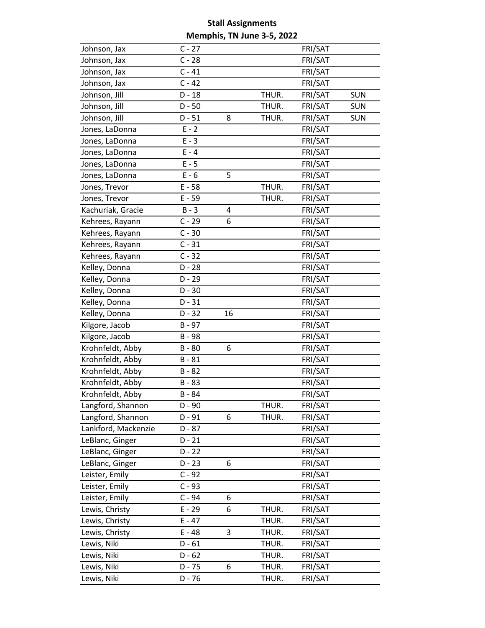| Johnson, Jax        | $C - 27$ |    |       | FRI/SAT |            |
|---------------------|----------|----|-------|---------|------------|
| Johnson, Jax        | $C - 28$ |    |       | FRI/SAT |            |
| Johnson, Jax        | $C - 41$ |    |       | FRI/SAT |            |
| Johnson, Jax        | $C - 42$ |    |       | FRI/SAT |            |
| Johnson, Jill       | $D - 18$ |    | THUR. | FRI/SAT | <b>SUN</b> |
| Johnson, Jill       | $D - 50$ |    | THUR. | FRI/SAT | <b>SUN</b> |
| Johnson, Jill       | $D - 51$ | 8  | THUR. | FRI/SAT | <b>SUN</b> |
| Jones, LaDonna      | $E - 2$  |    |       | FRI/SAT |            |
| Jones, LaDonna      | $E - 3$  |    |       | FRI/SAT |            |
| Jones, LaDonna      | $E - 4$  |    |       | FRI/SAT |            |
| Jones, LaDonna      | $E - 5$  |    |       | FRI/SAT |            |
| Jones, LaDonna      | $E - 6$  | 5  |       | FRI/SAT |            |
| Jones, Trevor       | $E - 58$ |    | THUR. | FRI/SAT |            |
| Jones, Trevor       | $E - 59$ |    | THUR. | FRI/SAT |            |
| Kachuriak, Gracie   | $B - 3$  | 4  |       | FRI/SAT |            |
| Kehrees, Rayann     | $C - 29$ | 6  |       | FRI/SAT |            |
| Kehrees, Rayann     | $C - 30$ |    |       | FRI/SAT |            |
| Kehrees, Rayann     | $C - 31$ |    |       | FRI/SAT |            |
| Kehrees, Rayann     | $C - 32$ |    |       | FRI/SAT |            |
| Kelley, Donna       | $D - 28$ |    |       | FRI/SAT |            |
| Kelley, Donna       | $D - 29$ |    |       | FRI/SAT |            |
| Kelley, Donna       | $D - 30$ |    |       | FRI/SAT |            |
| Kelley, Donna       | $D - 31$ |    |       | FRI/SAT |            |
| Kelley, Donna       | $D - 32$ | 16 |       | FRI/SAT |            |
| Kilgore, Jacob      | $B - 97$ |    |       | FRI/SAT |            |
| Kilgore, Jacob      | B-98     |    |       | FRI/SAT |            |
| Krohnfeldt, Abby    | $B - 80$ | 6  |       | FRI/SAT |            |
| Krohnfeldt, Abby    | $B - 81$ |    |       | FRI/SAT |            |
| Krohnfeldt, Abby    | $B - 82$ |    |       | FRI/SAT |            |
| Krohnfeldt, Abby    | $B - 83$ |    |       | FRI/SAT |            |
| Krohnfeldt, Abby    | $B - 84$ |    |       | FRI/SAT |            |
| Langford, Shannon   | D - 90   |    | THUR. | FRI/SAT |            |
| Langford, Shannon   | $D - 91$ | 6  | THUR. | FRI/SAT |            |
| Lankford, Mackenzie | $D - 87$ |    |       | FRI/SAT |            |
| LeBlanc, Ginger     | $D - 21$ |    |       | FRI/SAT |            |
| LeBlanc, Ginger     | $D - 22$ |    |       | FRI/SAT |            |
| LeBlanc, Ginger     | $D - 23$ | 6  |       | FRI/SAT |            |
| Leister, Emily      | $C - 92$ |    |       | FRI/SAT |            |
| Leister, Emily      | $C - 93$ |    |       | FRI/SAT |            |
| Leister, Emily      | $C - 94$ | 6  |       | FRI/SAT |            |
| Lewis, Christy      | $E - 29$ | 6  | THUR. | FRI/SAT |            |
| Lewis, Christy      | $E - 47$ |    | THUR. | FRI/SAT |            |
| Lewis, Christy      | $E - 48$ | 3  | THUR. | FRI/SAT |            |
| Lewis, Niki         | $D - 61$ |    | THUR. | FRI/SAT |            |
| Lewis, Niki         | $D - 62$ |    | THUR. | FRI/SAT |            |
| Lewis, Niki         | $D - 75$ | 6  | THUR. | FRI/SAT |            |
| Lewis, Niki         | $D - 76$ |    | THUR. | FRI/SAT |            |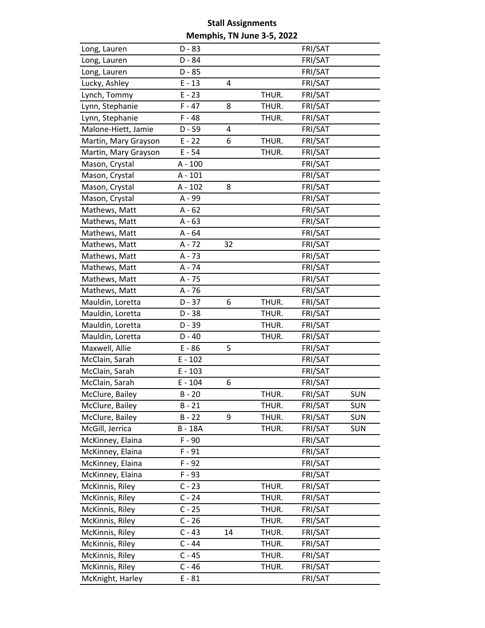| Long, Lauren         | $D - 83$  |    |       | FRI/SAT |            |
|----------------------|-----------|----|-------|---------|------------|
| Long, Lauren         | D - 84    |    |       | FRI/SAT |            |
| Long, Lauren         | $D - 85$  |    |       | FRI/SAT |            |
| Lucky, Ashley        | $E - 13$  | 4  |       | FRI/SAT |            |
| Lynch, Tommy         | $E - 23$  |    | THUR. | FRI/SAT |            |
| Lynn, Stephanie      | $F - 47$  | 8  | THUR. | FRI/SAT |            |
| Lynn, Stephanie      | $F - 48$  |    | THUR. | FRI/SAT |            |
| Malone-Hiett, Jamie  | $D - 59$  | 4  |       | FRI/SAT |            |
| Martin, Mary Grayson | $E - 22$  | 6  | THUR. | FRI/SAT |            |
| Martin, Mary Grayson | $E - 54$  |    | THUR. | FRI/SAT |            |
| Mason, Crystal       | $A - 100$ |    |       | FRI/SAT |            |
| Mason, Crystal       | $A - 101$ |    |       | FRI/SAT |            |
| Mason, Crystal       | $A - 102$ | 8  |       | FRI/SAT |            |
| Mason, Crystal       | A - 99    |    |       | FRI/SAT |            |
| Mathews, Matt        | $A - 62$  |    |       | FRI/SAT |            |
| Mathews, Matt        | $A - 63$  |    |       | FRI/SAT |            |
| Mathews, Matt        | $A - 64$  |    |       | FRI/SAT |            |
| Mathews, Matt        | A - 72    | 32 |       | FRI/SAT |            |
| Mathews, Matt        | $A - 73$  |    |       | FRI/SAT |            |
| Mathews, Matt        | A - 74    |    |       | FRI/SAT |            |
| Mathews, Matt        | A - 75    |    |       | FRI/SAT |            |
| Mathews, Matt        | $A - 76$  |    |       | FRI/SAT |            |
| Mauldin, Loretta     | $D - 37$  | 6  | THUR. | FRI/SAT |            |
| Mauldin, Loretta     | $D - 38$  |    | THUR. | FRI/SAT |            |
| Mauldin, Loretta     | $D - 39$  |    | THUR. | FRI/SAT |            |
| Mauldin, Loretta     | $D - 40$  |    | THUR. | FRI/SAT |            |
| Maxwell, Allie       | $E - 86$  | 5  |       | FRI/SAT |            |
| McClain, Sarah       | $E - 102$ |    |       | FRI/SAT |            |
| McClain, Sarah       | $E - 103$ |    |       | FRI/SAT |            |
| McClain, Sarah       | $E - 104$ | 6  |       | FRI/SAT |            |
| McClure, Bailey      | $B - 20$  |    | THUR. | FRI/SAT | <b>SUN</b> |
| McClure, Bailey      | $B - 21$  |    | THUR. | FRI/SAT | <b>SUN</b> |
| McClure, Bailey      | $B - 22$  | 9  | THUR. | FRI/SAT | <b>SUN</b> |
| McGill, Jerrica      | B-18A     |    | THUR. | FRI/SAT | <b>SUN</b> |
| McKinney, Elaina     | $F - 90$  |    |       | FRI/SAT |            |
| McKinney, Elaina     | $F - 91$  |    |       | FRI/SAT |            |
| McKinney, Elaina     | $F - 92$  |    |       | FRI/SAT |            |
| McKinney, Elaina     | $F - 93$  |    |       | FRI/SAT |            |
| McKinnis, Riley      | $C - 23$  |    | THUR. | FRI/SAT |            |
| McKinnis, Riley      | $C - 24$  |    | THUR. | FRI/SAT |            |
| McKinnis, Riley      | $C - 25$  |    | THUR. | FRI/SAT |            |
| McKinnis, Riley      | $C - 26$  |    | THUR. | FRI/SAT |            |
| McKinnis, Riley      | $C - 43$  | 14 | THUR. | FRI/SAT |            |
| McKinnis, Riley      | $C - 44$  |    | THUR. | FRI/SAT |            |
| McKinnis, Riley      | $C - 45$  |    | THUR. | FRI/SAT |            |
| McKinnis, Riley      | $C - 46$  |    | THUR. | FRI/SAT |            |
| McKnight, Harley     | $E - 81$  |    |       | FRI/SAT |            |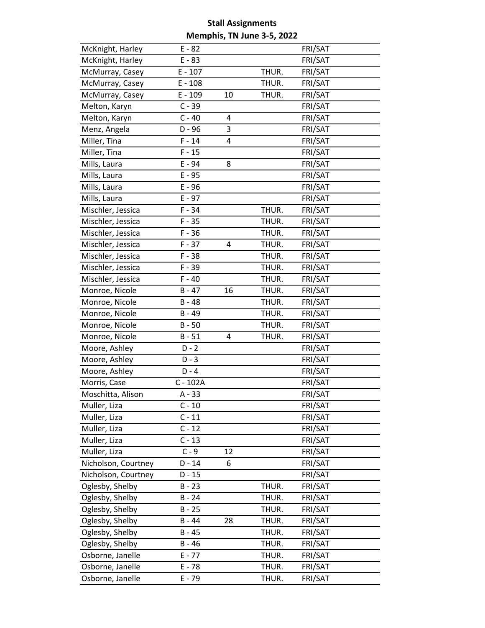| McKnight, Harley    | $E - 82$   |    |       | FRI/SAT |  |
|---------------------|------------|----|-------|---------|--|
| McKnight, Harley    | $E - 83$   |    |       | FRI/SAT |  |
| McMurray, Casey     | $E - 107$  |    | THUR. | FRI/SAT |  |
| McMurray, Casey     | $E - 108$  |    | THUR. | FRI/SAT |  |
| McMurray, Casey     | $E - 109$  | 10 | THUR. | FRI/SAT |  |
| Melton, Karyn       | $C - 39$   |    |       | FRI/SAT |  |
| Melton, Karyn       | $C - 40$   | 4  |       | FRI/SAT |  |
| Menz, Angela        | $D - 96$   | 3  |       | FRI/SAT |  |
| Miller, Tina        | $F - 14$   | 4  |       | FRI/SAT |  |
| Miller, Tina        | $F - 15$   |    |       | FRI/SAT |  |
| Mills, Laura        | E - 94     | 8  |       | FRI/SAT |  |
| Mills, Laura        | $E - 95$   |    |       | FRI/SAT |  |
| Mills, Laura        | $E - 96$   |    |       | FRI/SAT |  |
| Mills, Laura        | $E - 97$   |    |       | FRI/SAT |  |
| Mischler, Jessica   | $F - 34$   |    | THUR. | FRI/SAT |  |
| Mischler, Jessica   | $F - 35$   |    | THUR. | FRI/SAT |  |
| Mischler, Jessica   | $F - 36$   |    | THUR. | FRI/SAT |  |
| Mischler, Jessica   | $F - 37$   | 4  | THUR. | FRI/SAT |  |
| Mischler, Jessica   | $F - 38$   |    | THUR. | FRI/SAT |  |
| Mischler, Jessica   | F-39       |    | THUR. | FRI/SAT |  |
| Mischler, Jessica   | $F - 40$   |    | THUR. | FRI/SAT |  |
| Monroe, Nicole      | $B - 47$   | 16 | THUR. | FRI/SAT |  |
| Monroe, Nicole      | $B - 48$   |    | THUR. | FRI/SAT |  |
| Monroe, Nicole      | $B - 49$   |    | THUR. | FRI/SAT |  |
| Monroe, Nicole      | $B - 50$   |    | THUR. | FRI/SAT |  |
| Monroe, Nicole      | $B - 51$   | 4  | THUR. | FRI/SAT |  |
| Moore, Ashley       | $D - 2$    |    |       | FRI/SAT |  |
| Moore, Ashley       | $D - 3$    |    |       | FRI/SAT |  |
| Moore, Ashley       | $D - 4$    |    |       | FRI/SAT |  |
| Morris, Case        | $C - 102A$ |    |       | FRI/SAT |  |
| Moschitta, Alison   | $A - 33$   |    |       | FRI/SAT |  |
| Muller, Liza        | $C - 10$   |    |       | FRI/SAT |  |
| Muller, Liza        | $C - 11$   |    |       | FRI/SAT |  |
| Muller, Liza        | $C - 12$   |    |       | FRI/SAT |  |
| Muller, Liza        | $C - 13$   |    |       | FRI/SAT |  |
| Muller, Liza        | $C - 9$    | 12 |       | FRI/SAT |  |
| Nicholson, Courtney | $D - 14$   | 6  |       | FRI/SAT |  |
| Nicholson, Courtney | $D - 15$   |    |       | FRI/SAT |  |
| Oglesby, Shelby     | $B - 23$   |    | THUR. | FRI/SAT |  |
| Oglesby, Shelby     | $B - 24$   |    | THUR. | FRI/SAT |  |
| Oglesby, Shelby     | $B - 25$   |    | THUR. | FRI/SAT |  |
| Oglesby, Shelby     | $B - 44$   | 28 | THUR. | FRI/SAT |  |
| Oglesby, Shelby     | $B - 45$   |    | THUR. | FRI/SAT |  |
| Oglesby, Shelby     | $B - 46$   |    | THUR. | FRI/SAT |  |
| Osborne, Janelle    | $E - 77$   |    | THUR. | FRI/SAT |  |
| Osborne, Janelle    | $E - 78$   |    | THUR. | FRI/SAT |  |
| Osborne, Janelle    | $E - 79$   |    | THUR. | FRI/SAT |  |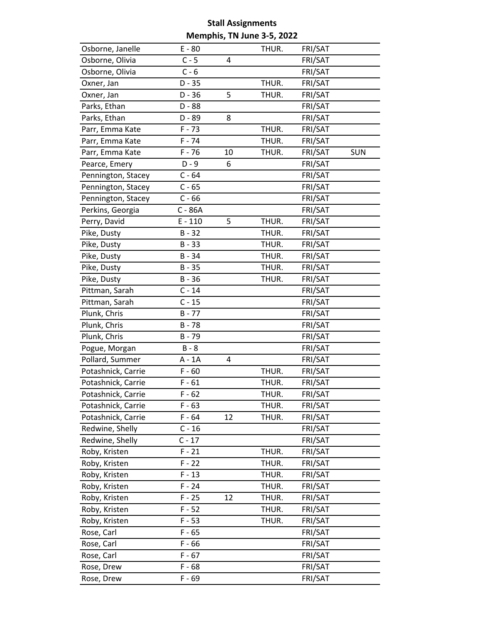| Osborne, Janelle   | $E - 80$  |    | THUR. | FRI/SAT |            |
|--------------------|-----------|----|-------|---------|------------|
| Osborne, Olivia    | $C - 5$   | 4  |       | FRI/SAT |            |
| Osborne, Olivia    | $C - 6$   |    |       | FRI/SAT |            |
| Oxner, Jan         | $D - 35$  |    | THUR. | FRI/SAT |            |
| Oxner, Jan         | $D - 36$  | 5  | THUR. | FRI/SAT |            |
| Parks, Ethan       | D - 88    |    |       | FRI/SAT |            |
| Parks, Ethan       | $D - 89$  | 8  |       | FRI/SAT |            |
| Parr, Emma Kate    | $F - 73$  |    | THUR. | FRI/SAT |            |
| Parr, Emma Kate    | $F - 74$  |    | THUR. | FRI/SAT |            |
| Parr, Emma Kate    | $F - 76$  | 10 | THUR. | FRI/SAT | <b>SUN</b> |
| Pearce, Emery      | $D - 9$   | 6  |       | FRI/SAT |            |
| Pennington, Stacey | $C - 64$  |    |       | FRI/SAT |            |
| Pennington, Stacey | $C - 65$  |    |       | FRI/SAT |            |
| Pennington, Stacey | $C - 66$  |    |       | FRI/SAT |            |
| Perkins, Georgia   | C - 86A   |    |       | FRI/SAT |            |
| Perry, David       | $E - 110$ | 5  | THUR. | FRI/SAT |            |
| Pike, Dusty        | $B - 32$  |    | THUR. | FRI/SAT |            |
| Pike, Dusty        | $B - 33$  |    | THUR. | FRI/SAT |            |
| Pike, Dusty        | $B - 34$  |    | THUR. | FRI/SAT |            |
| Pike, Dusty        | $B - 35$  |    | THUR. | FRI/SAT |            |
| Pike, Dusty        | $B - 36$  |    | THUR. | FRI/SAT |            |
| Pittman, Sarah     | $C - 14$  |    |       | FRI/SAT |            |
| Pittman, Sarah     | $C - 15$  |    |       | FRI/SAT |            |
| Plunk, Chris       | $B - 77$  |    |       | FRI/SAT |            |
| Plunk, Chris       | $B - 78$  |    |       | FRI/SAT |            |
| Plunk, Chris       | $B - 79$  |    |       | FRI/SAT |            |
| Pogue, Morgan      | $B - 8$   |    |       | FRI/SAT |            |
| Pollard, Summer    | A - 1A    | 4  |       | FRI/SAT |            |
| Potashnick, Carrie | $F - 60$  |    | THUR. | FRI/SAT |            |
| Potashnick, Carrie | $F - 61$  |    | THUR. | FRI/SAT |            |
| Potashnick, Carrie | $F - 62$  |    | THUR. | FRI/SAT |            |
| Potashnick, Carrie | $F - 63$  |    | THUR. | FRI/SAT |            |
| Potashnick, Carrie | $F - 64$  | 12 | THUR. | FRI/SAT |            |
| Redwine, Shelly    | $C - 16$  |    |       | FRI/SAT |            |
| Redwine, Shelly    | $C - 17$  |    |       | FRI/SAT |            |
| Roby, Kristen      | $F - 21$  |    | THUR. | FRI/SAT |            |
| Roby, Kristen      | $F - 22$  |    | THUR. | FRI/SAT |            |
| Roby, Kristen      | $F - 13$  |    | THUR. | FRI/SAT |            |
| Roby, Kristen      | $F - 24$  |    | THUR. | FRI/SAT |            |
| Roby, Kristen      | $F - 25$  | 12 | THUR. | FRI/SAT |            |
| Roby, Kristen      | $F - 52$  |    | THUR. | FRI/SAT |            |
| Roby, Kristen      | $F - 53$  |    | THUR. | FRI/SAT |            |
| Rose, Carl         | $F - 65$  |    |       | FRI/SAT |            |
| Rose, Carl         | $F - 66$  |    |       | FRI/SAT |            |
| Rose, Carl         | $F - 67$  |    |       | FRI/SAT |            |
| Rose, Drew         | $F - 68$  |    |       | FRI/SAT |            |
| Rose, Drew         | $F - 69$  |    |       | FRI/SAT |            |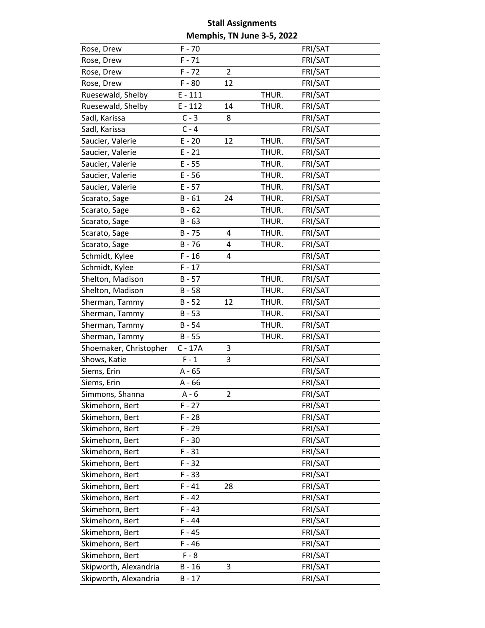| Rose, Drew             | $F - 70$  |                |       | FRI/SAT |
|------------------------|-----------|----------------|-------|---------|
| Rose, Drew             | $F - 71$  |                |       | FRI/SAT |
| Rose, Drew             | $F - 72$  | $\overline{2}$ |       | FRI/SAT |
| Rose, Drew             | $F - 80$  | 12             |       | FRI/SAT |
| Ruesewald, Shelby      | $E - 111$ |                | THUR. | FRI/SAT |
| Ruesewald, Shelby      | $E - 112$ | 14             | THUR. | FRI/SAT |
| Sadl, Karissa          | $C - 3$   | 8              |       | FRI/SAT |
| Sadl, Karissa          | $C - 4$   |                |       | FRI/SAT |
| Saucier, Valerie       | $E - 20$  | 12             | THUR. | FRI/SAT |
| Saucier, Valerie       | $E - 21$  |                | THUR. | FRI/SAT |
| Saucier, Valerie       | $E - 55$  |                | THUR. | FRI/SAT |
| Saucier, Valerie       | $E - 56$  |                | THUR. | FRI/SAT |
| Saucier, Valerie       | $E - 57$  |                | THUR. | FRI/SAT |
| Scarato, Sage          | $B - 61$  | 24             | THUR. | FRI/SAT |
| Scarato, Sage          | $B - 62$  |                | THUR. | FRI/SAT |
| Scarato, Sage          | $B - 63$  |                | THUR. | FRI/SAT |
| Scarato, Sage          | $B - 75$  | 4              | THUR. | FRI/SAT |
| Scarato, Sage          | $B - 76$  | 4              | THUR. | FRI/SAT |
| Schmidt, Kylee         | $F - 16$  | 4              |       | FRI/SAT |
| Schmidt, Kylee         | $F - 17$  |                |       | FRI/SAT |
| Shelton, Madison       | $B - 57$  |                | THUR. | FRI/SAT |
| Shelton, Madison       | $B - 58$  |                | THUR. | FRI/SAT |
| Sherman, Tammy         | $B - 52$  | 12             | THUR. | FRI/SAT |
| Sherman, Tammy         | $B - 53$  |                | THUR. | FRI/SAT |
| Sherman, Tammy         | $B - 54$  |                | THUR. | FRI/SAT |
| Sherman, Tammy         | $B - 55$  |                | THUR. | FRI/SAT |
| Shoemaker, Christopher | $C - 17A$ | 3              |       | FRI/SAT |
| Shows, Katie           | $F - 1$   | 3              |       | FRI/SAT |
| Siems, Erin            | $A - 65$  |                |       | FRI/SAT |
| Siems, Erin            | $A - 66$  |                |       | FRI/SAT |
| Simmons, Shanna        | $A - 6$   | $\overline{2}$ |       | FRI/SAT |
| Skimehorn, Bert        | $F - 27$  |                |       | FRI/SAT |
| Skimehorn, Bert        | $F - 28$  |                |       | FRI/SAT |
| Skimehorn, Bert        | $F - 29$  |                |       | FRI/SAT |
| Skimehorn, Bert        | $F - 30$  |                |       | FRI/SAT |
| Skimehorn, Bert        | $F - 31$  |                |       | FRI/SAT |
| Skimehorn, Bert        | $F - 32$  |                |       | FRI/SAT |
| Skimehorn, Bert        | $F - 33$  |                |       | FRI/SAT |
| Skimehorn, Bert        | $F - 41$  | 28             |       | FRI/SAT |
| Skimehorn, Bert        | $F - 42$  |                |       | FRI/SAT |
| Skimehorn, Bert        | $F - 43$  |                |       | FRI/SAT |
| Skimehorn, Bert        | $F - 44$  |                |       | FRI/SAT |
| Skimehorn, Bert        | $F - 45$  |                |       | FRI/SAT |
| Skimehorn, Bert        | $F - 46$  |                |       | FRI/SAT |
| Skimehorn, Bert        | $F - 8$   |                |       | FRI/SAT |
| Skipworth, Alexandria  | $B - 16$  | 3              |       | FRI/SAT |
| Skipworth, Alexandria  | $B - 17$  |                |       | FRI/SAT |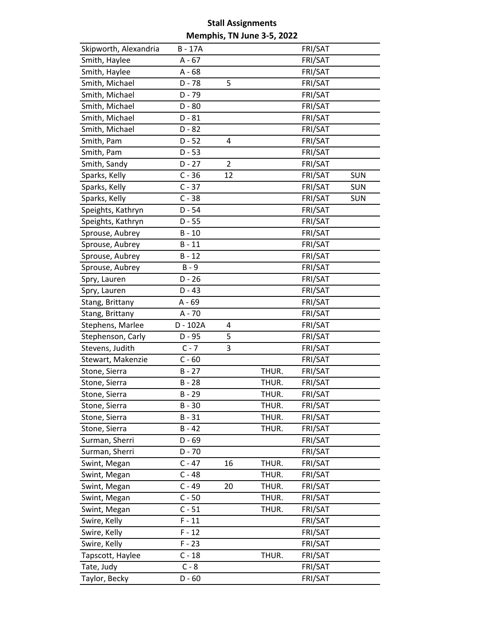| Skipworth, Alexandria | B - 17A  |    |       | FRI/SAT |            |
|-----------------------|----------|----|-------|---------|------------|
| Smith, Haylee         | $A - 67$ |    |       | FRI/SAT |            |
| Smith, Haylee         | $A - 68$ |    |       | FRI/SAT |            |
| Smith, Michael        | $D - 78$ | 5  |       | FRI/SAT |            |
| Smith, Michael        | $D - 79$ |    |       | FRI/SAT |            |
| Smith, Michael        | $D - 80$ |    |       | FRI/SAT |            |
| Smith, Michael        | $D - 81$ |    |       | FRI/SAT |            |
| Smith, Michael        | $D - 82$ |    |       | FRI/SAT |            |
| Smith, Pam            | $D - 52$ | 4  |       | FRI/SAT |            |
| Smith, Pam            | $D - 53$ |    |       | FRI/SAT |            |
| Smith, Sandy          | $D - 27$ | 2  |       | FRI/SAT |            |
| Sparks, Kelly         | $C - 36$ | 12 |       | FRI/SAT | <b>SUN</b> |
| Sparks, Kelly         | $C - 37$ |    |       | FRI/SAT | <b>SUN</b> |
| Sparks, Kelly         | $C - 38$ |    |       | FRI/SAT | <b>SUN</b> |
| Speights, Kathryn     | $D - 54$ |    |       | FRI/SAT |            |
| Speights, Kathryn     | $D - 55$ |    |       | FRI/SAT |            |
| Sprouse, Aubrey       | $B - 10$ |    |       | FRI/SAT |            |
| Sprouse, Aubrey       | $B - 11$ |    |       | FRI/SAT |            |
| Sprouse, Aubrey       | $B - 12$ |    |       | FRI/SAT |            |
| Sprouse, Aubrey       | $B - 9$  |    |       | FRI/SAT |            |
| Spry, Lauren          | $D - 26$ |    |       | FRI/SAT |            |
| Spry, Lauren          | $D - 43$ |    |       | FRI/SAT |            |
| Stang, Brittany       | A - 69   |    |       | FRI/SAT |            |
| Stang, Brittany       | A - 70   |    |       | FRI/SAT |            |
| Stephens, Marlee      | D - 102A | 4  |       | FRI/SAT |            |
| Stephenson, Carly     | $D - 95$ | 5  |       | FRI/SAT |            |
| Stevens, Judith       | $C - 7$  | 3  |       | FRI/SAT |            |
| Stewart, Makenzie     | $C - 60$ |    |       | FRI/SAT |            |
| Stone, Sierra         | $B - 27$ |    | THUR. | FRI/SAT |            |
| Stone, Sierra         | $B - 28$ |    | THUR. | FRI/SAT |            |
| Stone, Sierra         | $B - 29$ |    | THUR. | FRI/SAT |            |
| Stone, Sierra         | $B - 30$ |    | THUR. | FRI/SAT |            |
| Stone, Sierra         | $B - 31$ |    | THUR. | FRI/SAT |            |
| Stone, Sierra         | $B - 42$ |    | THUR. | FRI/SAT |            |
| Surman, Sherri        | $D - 69$ |    |       | FRI/SAT |            |
| Surman, Sherri        | $D - 70$ |    |       | FRI/SAT |            |
| Swint, Megan          | $C - 47$ | 16 | THUR. | FRI/SAT |            |
| Swint, Megan          | $C - 48$ |    | THUR. | FRI/SAT |            |
| Swint, Megan          | $C - 49$ | 20 | THUR. | FRI/SAT |            |
| Swint, Megan          | $C - 50$ |    | THUR. | FRI/SAT |            |
| Swint, Megan          | $C - 51$ |    | THUR. | FRI/SAT |            |
| Swire, Kelly          | $F - 11$ |    |       | FRI/SAT |            |
| Swire, Kelly          | $F - 12$ |    |       | FRI/SAT |            |
| Swire, Kelly          | $F - 23$ |    |       | FRI/SAT |            |
| Tapscott, Haylee      | $C - 18$ |    | THUR. | FRI/SAT |            |
| Tate, Judy            | $C - 8$  |    |       | FRI/SAT |            |
| Taylor, Becky         | $D - 60$ |    |       | FRI/SAT |            |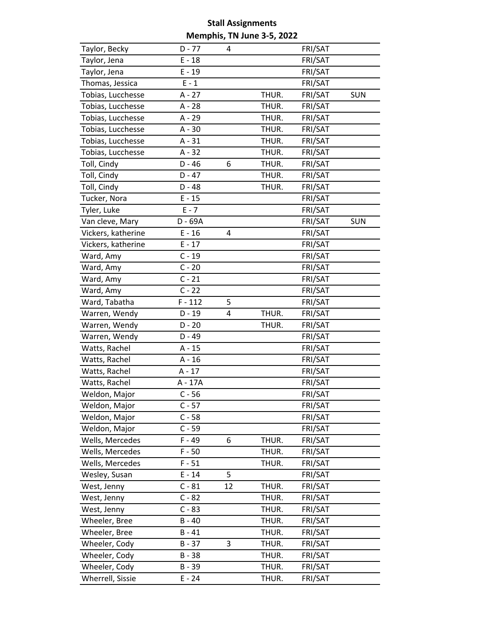| Taylor, Becky      | $D - 77$  | 4  |       | FRI/SAT |            |
|--------------------|-----------|----|-------|---------|------------|
| Taylor, Jena       | $E - 18$  |    |       | FRI/SAT |            |
| Taylor, Jena       | $E - 19$  |    |       | FRI/SAT |            |
| Thomas, Jessica    | $E - 1$   |    |       | FRI/SAT |            |
| Tobias, Lucchesse  | $A - 27$  |    | THUR. | FRI/SAT | <b>SUN</b> |
| Tobias, Lucchesse  | A - 28    |    | THUR. | FRI/SAT |            |
| Tobias, Lucchesse  | A - 29    |    | THUR. | FRI/SAT |            |
| Tobias, Lucchesse  | $A - 30$  |    | THUR. | FRI/SAT |            |
| Tobias, Lucchesse  | $A - 31$  |    | THUR. | FRI/SAT |            |
| Tobias, Lucchesse  | $A - 32$  |    | THUR. | FRI/SAT |            |
| Toll, Cindy        | $D - 46$  | 6  | THUR. | FRI/SAT |            |
| Toll, Cindy        | $D - 47$  |    | THUR. | FRI/SAT |            |
| Toll, Cindy        | $D - 48$  |    | THUR. | FRI/SAT |            |
| Tucker, Nora       | $E - 15$  |    |       | FRI/SAT |            |
| Tyler, Luke        | $E - 7$   |    |       | FRI/SAT |            |
| Van cleve, Mary    | D - 69A   |    |       | FRI/SAT | <b>SUN</b> |
| Vickers, katherine | $E - 16$  | 4  |       | FRI/SAT |            |
| Vickers, katherine | $E - 17$  |    |       | FRI/SAT |            |
| Ward, Amy          | $C - 19$  |    |       | FRI/SAT |            |
| Ward, Amy          | $C - 20$  |    |       | FRI/SAT |            |
| Ward, Amy          | $C - 21$  |    |       | FRI/SAT |            |
| Ward, Amy          | $C - 22$  |    |       | FRI/SAT |            |
| Ward, Tabatha      | $F - 112$ | 5  |       | FRI/SAT |            |
| Warren, Wendy      | $D - 19$  | 4  | THUR. | FRI/SAT |            |
| Warren, Wendy      | $D - 20$  |    | THUR. | FRI/SAT |            |
| Warren, Wendy      | $D - 49$  |    |       | FRI/SAT |            |
| Watts, Rachel      | $A - 15$  |    |       | FRI/SAT |            |
| Watts, Rachel      | $A - 16$  |    |       | FRI/SAT |            |
| Watts, Rachel      | $A - 17$  |    |       | FRI/SAT |            |
| Watts, Rachel      | A - 17A   |    |       | FRI/SAT |            |
| Weldon, Major      | $C - 56$  |    |       | FRI/SAT |            |
| Weldon, Major      | $C - 57$  |    |       | FRI/SAT |            |
| Weldon, Major      | $C - 58$  |    |       | FRI/SAT |            |
| Weldon, Major      | $C - 59$  |    |       | FRI/SAT |            |
| Wells, Mercedes    | $F - 49$  | 6  | THUR. | FRI/SAT |            |
| Wells, Mercedes    | $F - 50$  |    | THUR. | FRI/SAT |            |
| Wells, Mercedes    | $F - 51$  |    | THUR. | FRI/SAT |            |
| Wesley, Susan      | $E - 14$  | 5  |       | FRI/SAT |            |
| West, Jenny        | $C - 81$  | 12 | THUR. | FRI/SAT |            |
| West, Jenny        | $C - 82$  |    | THUR. | FRI/SAT |            |
| West, Jenny        | $C - 83$  |    | THUR. | FRI/SAT |            |
| Wheeler, Bree      | $B - 40$  |    | THUR. | FRI/SAT |            |
| Wheeler, Bree      | $B - 41$  |    | THUR. | FRI/SAT |            |
| Wheeler, Cody      | $B - 37$  | 3  | THUR. | FRI/SAT |            |
| Wheeler, Cody      | $B - 38$  |    | THUR. | FRI/SAT |            |
| Wheeler, Cody      | $B - 39$  |    | THUR. | FRI/SAT |            |
| Wherrell, Sissie   | $E - 24$  |    | THUR. | FRI/SAT |            |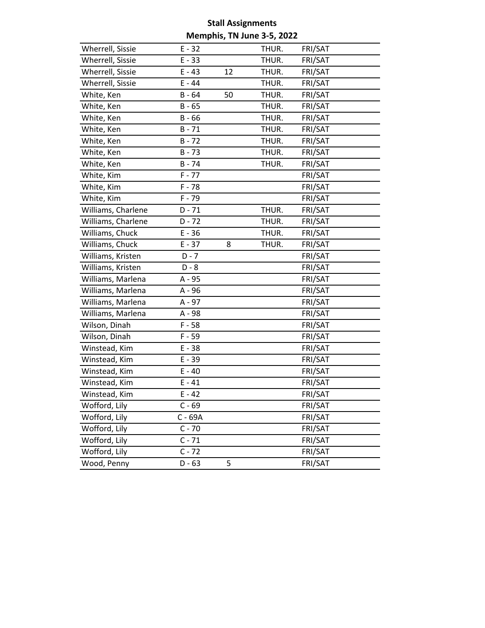| Wherrell, Sissie   | $E - 32$ |    | THUR. | FRI/SAT |  |
|--------------------|----------|----|-------|---------|--|
| Wherrell, Sissie   | $E - 33$ |    | THUR. | FRI/SAT |  |
| Wherrell, Sissie   | $E - 43$ | 12 | THUR. | FRI/SAT |  |
| Wherrell, Sissie   | $E - 44$ |    | THUR. | FRI/SAT |  |
| White, Ken         | $B - 64$ | 50 | THUR. | FRI/SAT |  |
| White, Ken         | $B - 65$ |    | THUR. | FRI/SAT |  |
| White, Ken         | $B - 66$ |    | THUR. | FRI/SAT |  |
| White, Ken         | $B - 71$ |    | THUR. | FRI/SAT |  |
| White, Ken         | $B - 72$ |    | THUR. | FRI/SAT |  |
| White, Ken         | $B - 73$ |    | THUR. | FRI/SAT |  |
| White, Ken         | $B - 74$ |    | THUR. | FRI/SAT |  |
| White, Kim         | $F - 77$ |    |       | FRI/SAT |  |
| White, Kim         | $F - 78$ |    |       | FRI/SAT |  |
| White, Kim         | $F - 79$ |    |       | FRI/SAT |  |
| Williams, Charlene | $D - 71$ |    | THUR. | FRI/SAT |  |
| Williams, Charlene | $D - 72$ |    | THUR. | FRI/SAT |  |
| Williams, Chuck    | $E - 36$ |    | THUR. | FRI/SAT |  |
| Williams, Chuck    | $E - 37$ | 8  | THUR. | FRI/SAT |  |
| Williams, Kristen  | $D - 7$  |    |       | FRI/SAT |  |
| Williams, Kristen  | $D - 8$  |    |       | FRI/SAT |  |
| Williams, Marlena  | A - 95   |    |       | FRI/SAT |  |
| Williams, Marlena  | A - 96   |    |       | FRI/SAT |  |
| Williams, Marlena  | A - 97   |    |       | FRI/SAT |  |
| Williams, Marlena  | A - 98   |    |       | FRI/SAT |  |
| Wilson, Dinah      | $F - 58$ |    |       | FRI/SAT |  |
| Wilson, Dinah      | $F - 59$ |    |       | FRI/SAT |  |
| Winstead, Kim      | $E - 38$ |    |       | FRI/SAT |  |
| Winstead, Kim      | $E - 39$ |    |       | FRI/SAT |  |
| Winstead, Kim      | $E - 40$ |    |       | FRI/SAT |  |
| Winstead, Kim      | $E - 41$ |    |       | FRI/SAT |  |
| Winstead, Kim      | $E - 42$ |    |       | FRI/SAT |  |
| Wofford, Lily      | $C - 69$ |    |       | FRI/SAT |  |
| Wofford, Lily      | C - 69A  |    |       | FRI/SAT |  |
| Wofford, Lily      | $C - 70$ |    |       | FRI/SAT |  |
| Wofford, Lily      | $C - 71$ |    |       | FRI/SAT |  |
| Wofford, Lily      | $C - 72$ |    |       | FRI/SAT |  |
| Wood, Penny        | $D - 63$ | 5  |       | FRI/SAT |  |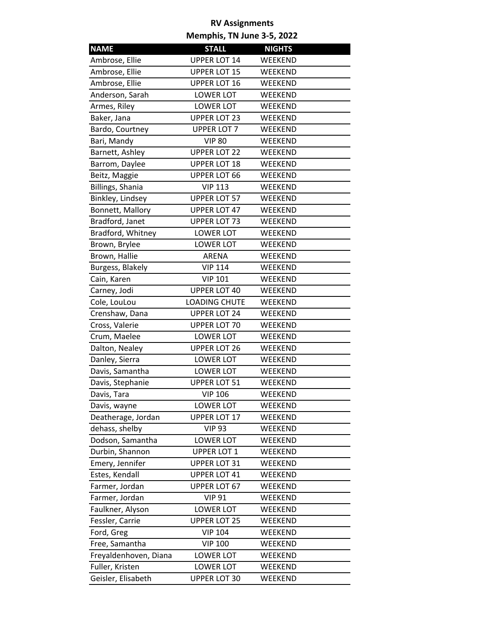| <b>NAME</b>           | <b>STALL</b>         | <b>NIGHTS</b> |
|-----------------------|----------------------|---------------|
| Ambrose, Ellie        | <b>UPPER LOT 14</b>  | WEEKEND       |
| Ambrose, Ellie        | <b>UPPER LOT 15</b>  | WEEKEND       |
| Ambrose, Ellie        | <b>UPPER LOT 16</b>  | WEEKEND       |
| Anderson, Sarah       | <b>LOWER LOT</b>     | WEEKEND       |
| Armes, Riley          | <b>LOWER LOT</b>     | WEEKEND       |
| Baker, Jana           | <b>UPPER LOT 23</b>  | WEEKEND       |
| Bardo, Courtney       | <b>UPPER LOT 7</b>   | WEEKEND       |
| Bari, Mandy           | <b>VIP 80</b>        | WEEKEND       |
| Barnett, Ashley       | <b>UPPER LOT 22</b>  | WEEKEND       |
| Barrom, Daylee        | <b>UPPER LOT 18</b>  | WEEKEND       |
| Beitz, Maggie         | <b>UPPER LOT 66</b>  | WEEKEND       |
| Billings, Shania      | <b>VIP 113</b>       | WEEKEND       |
| Binkley, Lindsey      | <b>UPPER LOT 57</b>  | WEEKEND       |
| Bonnett, Mallory      | <b>UPPER LOT 47</b>  | WEEKEND       |
| Bradford, Janet       | <b>UPPER LOT 73</b>  | WEEKEND       |
| Bradford, Whitney     | <b>LOWER LOT</b>     | WEEKEND       |
| Brown, Brylee         | <b>LOWER LOT</b>     | WEEKEND       |
| Brown, Hallie         | ARENA                | WEEKEND       |
| Burgess, Blakely      | <b>VIP 114</b>       | WEEKEND       |
| Cain, Karen           | <b>VIP 101</b>       | WEEKEND       |
| Carney, Jodi          | <b>UPPER LOT 40</b>  | WEEKEND       |
| Cole, LouLou          | <b>LOADING CHUTE</b> | WEEKEND       |
| Crenshaw, Dana        | <b>UPPER LOT 24</b>  | WEEKEND       |
| Cross, Valerie        | <b>UPPER LOT 70</b>  | WEEKEND       |
| Crum, Maelee          | <b>LOWER LOT</b>     | WEEKEND       |
| Dalton, Nealey        | <b>UPPER LOT 26</b>  | WEEKEND       |
| Danley, Sierra        | <b>LOWER LOT</b>     | WEEKEND       |
| Davis, Samantha       | <b>LOWER LOT</b>     | WEEKEND       |
| Davis, Stephanie      | <b>UPPER LOT 51</b>  | WEEKEND       |
| Davis, Tara           | <b>VIP 106</b>       | WEEKEND       |
| Davis, wayne          | <b>LOWER LOT</b>     | WEEKEND       |
| Deatherage, Jordan    | <b>UPPER LOT 17</b>  | WEEKEND       |
| dehass, shelby        | <b>VIP 93</b>        | WEEKEND       |
| Dodson, Samantha      | <b>LOWER LOT</b>     | WEEKEND       |
| Durbin, Shannon       | <b>UPPER LOT 1</b>   | WEEKEND       |
| Emery, Jennifer       | <b>UPPER LOT 31</b>  | WEEKEND       |
| Estes, Kendall        | <b>UPPER LOT 41</b>  | WEEKEND       |
| Farmer, Jordan        | <b>UPPER LOT 67</b>  | WEEKEND       |
| Farmer, Jordan        | <b>VIP 91</b>        | WEEKEND       |
| Faulkner, Alyson      | <b>LOWER LOT</b>     | WEEKEND       |
| Fessler, Carrie       | <b>UPPER LOT 25</b>  | WEEKEND       |
| Ford, Greg            | <b>VIP 104</b>       | WEEKEND       |
| Free, Samantha        | <b>VIP 100</b>       | WEEKEND       |
| Freyaldenhoven, Diana | <b>LOWER LOT</b>     | WEEKEND       |
| Fuller, Kristen       | <b>LOWER LOT</b>     | WEEKEND       |
| Geisler, Elisabeth    | <b>UPPER LOT 30</b>  | WEEKEND       |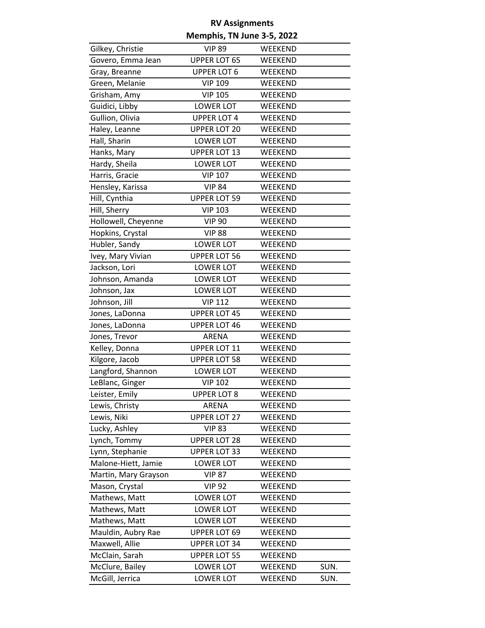| Gilkey, Christie     | <b>VIP 89</b>       | WEEKEND |      |
|----------------------|---------------------|---------|------|
| Govero, Emma Jean    | <b>UPPER LOT 65</b> | WEEKEND |      |
| Gray, Breanne        | <b>UPPER LOT 6</b>  | WEEKEND |      |
| Green, Melanie       | <b>VIP 109</b>      | WEEKEND |      |
| Grisham, Amy         | <b>VIP 105</b>      | WEEKEND |      |
| Guidici, Libby       | LOWER LOT           | WEEKEND |      |
| Gullion, Olivia      | <b>UPPER LOT 4</b>  | WEEKEND |      |
| Haley, Leanne        | <b>UPPER LOT 20</b> | WEEKEND |      |
| Hall, Sharin         | <b>LOWER LOT</b>    | WEEKEND |      |
| Hanks, Mary          | <b>UPPER LOT 13</b> | WEEKEND |      |
| Hardy, Sheila        | <b>LOWER LOT</b>    | WEEKEND |      |
| Harris, Gracie       | <b>VIP 107</b>      | WEEKEND |      |
| Hensley, Karissa     | <b>VIP 84</b>       | WEEKEND |      |
| Hill, Cynthia        | <b>UPPER LOT 59</b> | WEEKEND |      |
| Hill, Sherry         | <b>VIP 103</b>      | WEEKEND |      |
| Hollowell, Cheyenne  | <b>VIP 90</b>       | WEEKEND |      |
| Hopkins, Crystal     | <b>VIP 88</b>       | WEEKEND |      |
| Hubler, Sandy        | <b>LOWER LOT</b>    | WEEKEND |      |
| Ivey, Mary Vivian    | <b>UPPER LOT 56</b> | WEEKEND |      |
| Jackson, Lori        | <b>LOWER LOT</b>    | WEEKEND |      |
| Johnson, Amanda      | <b>LOWER LOT</b>    | WEEKEND |      |
| Johnson, Jax         | <b>LOWER LOT</b>    | WEEKEND |      |
| Johnson, Jill        | <b>VIP 112</b>      | WEEKEND |      |
| Jones, LaDonna       | <b>UPPER LOT 45</b> | WEEKEND |      |
| Jones, LaDonna       | <b>UPPER LOT 46</b> | WEEKEND |      |
| Jones, Trevor        | ARENA               | WEEKEND |      |
| Kelley, Donna        | UPPER LOT 11        | WEEKEND |      |
| Kilgore, Jacob       | <b>UPPER LOT 58</b> | WEEKEND |      |
| Langford, Shannon    | <b>LOWER LOT</b>    | WEEKEND |      |
| LeBlanc, Ginger      | <b>VIP 102</b>      | WEEKEND |      |
| Leister, Emily       | <b>UPPER LOT 8</b>  | WEEKEND |      |
| Lewis, Christy       | ARENA               | WEEKEND |      |
| Lewis, Niki          | <b>UPPER LOT 27</b> | WEEKEND |      |
| Lucky, Ashley        | <b>VIP 83</b>       | WEEKEND |      |
| Lynch, Tommy         | <b>UPPER LOT 28</b> | WEEKEND |      |
| Lynn, Stephanie      | <b>UPPER LOT 33</b> | WEEKEND |      |
| Malone-Hiett, Jamie  | <b>LOWER LOT</b>    | WEEKEND |      |
| Martin, Mary Grayson | <b>VIP 87</b>       | WEEKEND |      |
| Mason, Crystal       | <b>VIP 92</b>       | WEEKEND |      |
| Mathews, Matt        | <b>LOWER LOT</b>    | WEEKEND |      |
| Mathews, Matt        | <b>LOWER LOT</b>    | WEEKEND |      |
| Mathews, Matt        | <b>LOWER LOT</b>    | WEEKEND |      |
| Mauldin, Aubry Rae   | <b>UPPER LOT 69</b> | WEEKEND |      |
| Maxwell, Allie       | <b>UPPER LOT 34</b> | WEEKEND |      |
| McClain, Sarah       | <b>UPPER LOT 55</b> | WEEKEND |      |
| McClure, Bailey      | <b>LOWER LOT</b>    | WEEKEND | SUN. |
| McGill, Jerrica      | <b>LOWER LOT</b>    | WEEKEND | SUN. |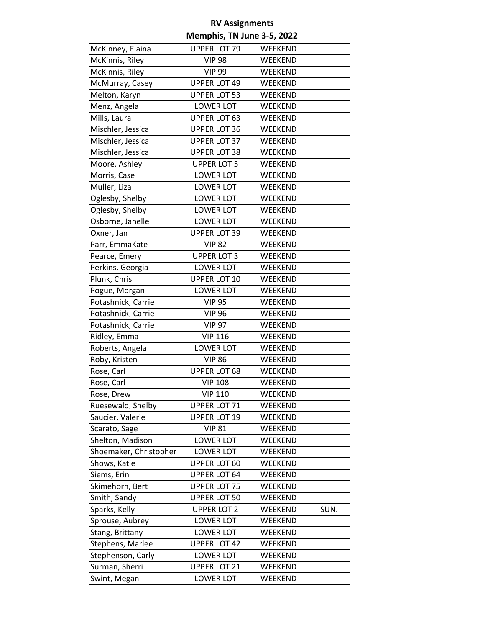| McKinney, Elaina       | <b>UPPER LOT 79</b> | WEEKEND |      |
|------------------------|---------------------|---------|------|
| McKinnis, Riley        | <b>VIP 98</b>       | WEEKEND |      |
| McKinnis, Riley        | <b>VIP 99</b>       | WEEKEND |      |
| McMurray, Casey        | <b>UPPER LOT 49</b> | WEEKEND |      |
| Melton, Karyn          | <b>UPPER LOT 53</b> | WEEKEND |      |
| Menz, Angela           | <b>LOWER LOT</b>    | WEEKEND |      |
| Mills, Laura           | <b>UPPER LOT 63</b> | WEEKEND |      |
| Mischler, Jessica      | <b>UPPER LOT 36</b> | WEEKEND |      |
| Mischler, Jessica      | <b>UPPER LOT 37</b> | WEEKEND |      |
| Mischler, Jessica      | <b>UPPER LOT 38</b> | WEEKEND |      |
| Moore, Ashley          | <b>UPPER LOT 5</b>  | WEEKEND |      |
| Morris, Case           | <b>LOWER LOT</b>    | WEEKEND |      |
| Muller, Liza           | <b>LOWER LOT</b>    | WEEKEND |      |
| Oglesby, Shelby        | <b>LOWER LOT</b>    | WEEKEND |      |
| Oglesby, Shelby        | <b>LOWER LOT</b>    | WEEKEND |      |
| Osborne, Janelle       | <b>LOWER LOT</b>    | WEEKEND |      |
| Oxner, Jan             | <b>UPPER LOT 39</b> | WEEKEND |      |
| Parr, EmmaKate         | <b>VIP 82</b>       | WEEKEND |      |
| Pearce, Emery          | <b>UPPER LOT 3</b>  | WEEKEND |      |
| Perkins, Georgia       | <b>LOWER LOT</b>    | WEEKEND |      |
| Plunk, Chris           | <b>UPPER LOT 10</b> | WEEKEND |      |
| Pogue, Morgan          | <b>LOWER LOT</b>    | WEEKEND |      |
| Potashnick, Carrie     | <b>VIP 95</b>       | WEEKEND |      |
| Potashnick, Carrie     | <b>VIP 96</b>       | WEEKEND |      |
| Potashnick, Carrie     | <b>VIP 97</b>       | WEEKEND |      |
| Ridley, Emma           | <b>VIP 116</b>      | WEEKEND |      |
| Roberts, Angela        | <b>LOWER LOT</b>    | WEEKEND |      |
| Roby, Kristen          | <b>VIP 86</b>       | WEEKEND |      |
| Rose, Carl             | <b>UPPER LOT 68</b> | WEEKEND |      |
| Rose, Carl             | <b>VIP 108</b>      | WEEKEND |      |
| Rose, Drew             | <b>VIP 110</b>      | WEEKEND |      |
| Ruesewald, Shelby      | UPPER LOT 71        | WEEKEND |      |
| Saucier, Valerie       | <b>UPPER LOT 19</b> | WEEKEND |      |
| Scarato, Sage          | <b>VIP 81</b>       | WEEKEND |      |
| Shelton, Madison       | <b>LOWER LOT</b>    | WEEKEND |      |
| Shoemaker, Christopher | <b>LOWER LOT</b>    | WEEKEND |      |
| Shows, Katie           | <b>UPPER LOT 60</b> | WEEKEND |      |
| Siems, Erin            | <b>UPPER LOT 64</b> | WEEKEND |      |
| Skimehorn, Bert        | <b>UPPER LOT 75</b> | WEEKEND |      |
| Smith, Sandy           | <b>UPPER LOT 50</b> | WEEKEND |      |
| Sparks, Kelly          | <b>UPPER LOT 2</b>  | WEEKEND | SUN. |
| Sprouse, Aubrey        | <b>LOWER LOT</b>    | WEEKEND |      |
| Stang, Brittany        | <b>LOWER LOT</b>    | WEEKEND |      |
| Stephens, Marlee       | <b>UPPER LOT 42</b> | WEEKEND |      |
| Stephenson, Carly      | <b>LOWER LOT</b>    | WEEKEND |      |
| Surman, Sherri         | <b>UPPER LOT 21</b> | WEEKEND |      |
| Swint, Megan           | <b>LOWER LOT</b>    | WEEKEND |      |